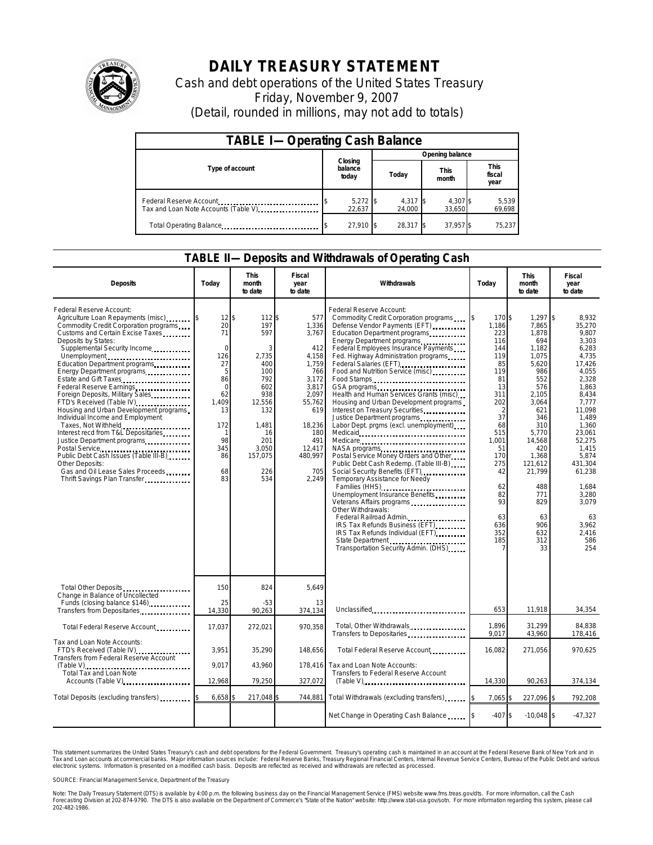

# **DAILY TREASURY STATEMENT**

Cash and debt operations of the United States Treasury Friday, November 9, 2007 (Detail, rounded in millions, may not add to totals)

| <b>TABLE I-Operating Cash Balance</b> |                             |                    |                      |                               |  |  |  |
|---------------------------------------|-----------------------------|--------------------|----------------------|-------------------------------|--|--|--|
|                                       |                             | Opening balance    |                      |                               |  |  |  |
| Type of account                       | Closing<br>balance<br>today | Today              | <b>This</b><br>month | <b>This</b><br>fiscal<br>year |  |  |  |
| Tax and Loan Note Accounts (Table V)  | $5,272$ \$<br>22.637        | 4.317 \$<br>24.000 | 4,307 \$<br>33,650   | 5,539<br>69,698               |  |  |  |
| Total Operating Balance               | 27.910 \$                   | 28.317 \$          | 37,957 \$            | 75.237                        |  |  |  |

#### **TABLE II—Deposits and Withdrawals of Operating Cash**

| <b>Deposits</b>                                                                                                                                                                                                                                                                                                                                                                                                                                                                                                                                                                                                                                                                                                                      | Todav                                                                                                                           | <b>This</b><br>month<br>to date                                                                                                               | Fiscal<br>year<br>to date                                                                                                                                      | Withdrawals                                                                                                                                                                                                                                                                                                                                                                                                                                                                                                                                                                                                                                                                                                                                                                                                                                                                                                                                          | Today                                                                                                                                                                                                         | <b>This</b><br>month<br>to date                                                                                                                                                                                                     | Fiscal<br>year<br>to date                                                                                                                                                                                                                                                |
|--------------------------------------------------------------------------------------------------------------------------------------------------------------------------------------------------------------------------------------------------------------------------------------------------------------------------------------------------------------------------------------------------------------------------------------------------------------------------------------------------------------------------------------------------------------------------------------------------------------------------------------------------------------------------------------------------------------------------------------|---------------------------------------------------------------------------------------------------------------------------------|-----------------------------------------------------------------------------------------------------------------------------------------------|----------------------------------------------------------------------------------------------------------------------------------------------------------------|------------------------------------------------------------------------------------------------------------------------------------------------------------------------------------------------------------------------------------------------------------------------------------------------------------------------------------------------------------------------------------------------------------------------------------------------------------------------------------------------------------------------------------------------------------------------------------------------------------------------------------------------------------------------------------------------------------------------------------------------------------------------------------------------------------------------------------------------------------------------------------------------------------------------------------------------------|---------------------------------------------------------------------------------------------------------------------------------------------------------------------------------------------------------------|-------------------------------------------------------------------------------------------------------------------------------------------------------------------------------------------------------------------------------------|--------------------------------------------------------------------------------------------------------------------------------------------------------------------------------------------------------------------------------------------------------------------------|
| Federal Reserve Account:<br>Agriculture Loan Repayments (misc)<br>Commodity Credit Corporation programs<br>Customs and Certain Excise Taxes<br>Deposits by States:<br>Supplemental Security Income<br>Unemployment<br>Education Department programs<br>Energy Department programs<br>Estate and Gift Taxes<br>Federal Reserve Earnings<br>Foreign Deposits, Military Sales<br>FTD's Received (Table IV)<br>Housing and Urban Development programs<br>Individual Income and Employment<br>Taxes, Not Withheld<br>Interest recd from T&L Depositaries<br>Justice Department programs<br>Postal Service<br>Public Debt Cash Issues (Table III-B)<br>Other Deposits:<br>Gas and Oil Lease Sales Proceeds<br>Thrift Savings Plan Transfer | 12<br>20<br>71<br>$\Omega$<br>126<br>27<br>5<br>86<br>$\Omega$<br>62<br>1,409<br>13<br>172<br>-1<br>98<br>345<br>86<br>68<br>83 | ፍ<br>112\$<br>197<br>597<br>2,735<br>400<br>100<br>792<br>602<br>938<br>12,556<br>132<br>1,481<br>16<br>201<br>3,050<br>157,075<br>226<br>534 | 577<br>1,336<br>3,767<br>412<br>4,158<br>1,759<br>766<br>3,172<br>3.817<br>2,097<br>55,762<br>619<br>18,236<br>180<br>491<br>12,417<br>480,997<br>705<br>2.249 | Federal Reserve Account:<br>Commodity Credit Corporation programs<br>Defense Vendor Payments (EFT)<br>Education Department programs<br>Energy Department programs<br>Federal Employees Insurance Payments<br>Fed. Highway Administration programs<br>Federal Salaries (EFT)<br>Food and Nutrition Service (misc)<br>Food Stamps<br>Health and Human Services Grants (misc)<br>Housing and Urban Development programs<br>Interest on Treasury Securities<br>Justice Department programs<br>Labor Dept. prgms (excl. unemployment).<br>Medicare<br>Postal Service Money Orders and Other<br>Public Debt Cash Redemp. (Table III-B)<br>Social Security Benefits (EFT)<br>Temporary Assistance for Needy<br>Families (HHS)<br>Unemployment Insurance Benefits<br>Veterans Affairs programs<br>Other Withdrawals:<br>Federal Railroad Admin<br>IRS Tax Refunds Business (EFT)<br>IRS Tax Refunds Individual (EFT)<br>Transportation Security Admin. (DHS) | 170\$<br>l\$<br>1.186<br>223<br>116<br>144<br>119<br>85<br>119<br>81<br>13<br>311<br>202<br>$\overline{2}$<br>37<br>68<br>515<br>1,001<br>51<br>170<br>275<br>42<br>62<br>82<br>93<br>63<br>636<br>352<br>185 | 1,297<br>7,865<br>1,878<br>694<br>1,182<br>1,075<br>5,620<br>986<br>552<br>576<br>2,105<br>3,064<br>621<br>346<br>310<br>5,770<br>14,568<br>420<br>1,368<br>121,612<br>21,799<br>488<br>771<br>829<br>63<br>906<br>632<br>312<br>33 | \$<br>8,932<br>35,270<br>9,807<br>3.303<br>6,283<br>4,735<br>17,426<br>4,055<br>2,328<br>1.863<br>8,434<br>7,777<br>11,098<br>1,489<br>1,360<br>23,061<br>52,275<br>1,415<br>5,874<br>431.304<br>61,238<br>1,684<br>3,280<br>3.079<br>63<br>3,962<br>2,416<br>586<br>254 |
| Total Other Deposits<br>Change in Balance of Uncollected                                                                                                                                                                                                                                                                                                                                                                                                                                                                                                                                                                                                                                                                             | 150                                                                                                                             | 824                                                                                                                                           | 5,649                                                                                                                                                          |                                                                                                                                                                                                                                                                                                                                                                                                                                                                                                                                                                                                                                                                                                                                                                                                                                                                                                                                                      |                                                                                                                                                                                                               |                                                                                                                                                                                                                                     |                                                                                                                                                                                                                                                                          |
| Funds (closing balance \$146)<br>Transfers from Depositaries                                                                                                                                                                                                                                                                                                                                                                                                                                                                                                                                                                                                                                                                         | 25<br>14.330                                                                                                                    | $-53$<br>90.263                                                                                                                               | 13<br>374,134                                                                                                                                                  | Unclassified                                                                                                                                                                                                                                                                                                                                                                                                                                                                                                                                                                                                                                                                                                                                                                                                                                                                                                                                         | 653                                                                                                                                                                                                           | 11,918                                                                                                                                                                                                                              | 34,354                                                                                                                                                                                                                                                                   |
| Total Federal Reserve Account                                                                                                                                                                                                                                                                                                                                                                                                                                                                                                                                                                                                                                                                                                        | 17,037                                                                                                                          | 272,021                                                                                                                                       | 970,358                                                                                                                                                        | Total, Other Withdrawals<br>Transfers to Depositaries                                                                                                                                                                                                                                                                                                                                                                                                                                                                                                                                                                                                                                                                                                                                                                                                                                                                                                | 1,896<br>9,017                                                                                                                                                                                                | 31,299<br>43,960                                                                                                                                                                                                                    | 84,838<br>178,416                                                                                                                                                                                                                                                        |
| Tax and Loan Note Accounts:<br>FTD's Received (Table IV)<br><b>Transfers from Federal Reserve Account</b><br>(Table V)<br>Total Tax and Loan Note<br>Accounts (Table V)                                                                                                                                                                                                                                                                                                                                                                                                                                                                                                                                                              | 3.951                                                                                                                           | 35,290                                                                                                                                        | 148.656                                                                                                                                                        | Total Federal Reserve Account                                                                                                                                                                                                                                                                                                                                                                                                                                                                                                                                                                                                                                                                                                                                                                                                                                                                                                                        | 16.082                                                                                                                                                                                                        | 271.056                                                                                                                                                                                                                             | 970.625                                                                                                                                                                                                                                                                  |
|                                                                                                                                                                                                                                                                                                                                                                                                                                                                                                                                                                                                                                                                                                                                      | 9,017<br>12,968                                                                                                                 | 43,960<br>79,250                                                                                                                              | 327,072                                                                                                                                                        | 178,416 Tax and Loan Note Accounts:<br>Transfers to Federal Reserve Account<br>$(Table V)$                                                                                                                                                                                                                                                                                                                                                                                                                                                                                                                                                                                                                                                                                                                                                                                                                                                           | 14,330                                                                                                                                                                                                        | 90,263                                                                                                                                                                                                                              | 374,134                                                                                                                                                                                                                                                                  |
| Total Deposits (excluding transfers)                                                                                                                                                                                                                                                                                                                                                                                                                                                                                                                                                                                                                                                                                                 | 6,658<br>217,048 \$<br>744,881                                                                                                  |                                                                                                                                               | Total Withdrawals (excluding transfers)                                                                                                                        | 7,065                                                                                                                                                                                                                                                                                                                                                                                                                                                                                                                                                                                                                                                                                                                                                                                                                                                                                                                                                | 227,096 \$                                                                                                                                                                                                    | 792,208                                                                                                                                                                                                                             |                                                                                                                                                                                                                                                                          |
|                                                                                                                                                                                                                                                                                                                                                                                                                                                                                                                                                                                                                                                                                                                                      |                                                                                                                                 |                                                                                                                                               |                                                                                                                                                                | Net Change in Operating Cash Balance                                                                                                                                                                                                                                                                                                                                                                                                                                                                                                                                                                                                                                                                                                                                                                                                                                                                                                                 | $-407S$                                                                                                                                                                                                       | $-10,048$ \$                                                                                                                                                                                                                        | $-47,327$                                                                                                                                                                                                                                                                |

This statement summarizes the United States Treasury's cash and debt operations for the Federal Government.<br>Tax and Loan accounts at commercial banks. Major information sources include: Federal Reserve Banks, Trea<br>electr narizes the United States Treasury's cash and debt operations for the Federal Government. Treasury's operating cash is maintained in an account at the Federal Reserve Bank of New York and in<br>nts at commercial banks. Major

SOURCE: Financial Management Service, Department of the Treasury

Note: The Daily Treasury Statement (DTS) is available by 4:00 p.m. the following business day on the Financial Management Service (FMS) website www.fms.treas.gov/dts. For more information, call the Cash<br>Forecasting Divisio 202-482-1986.